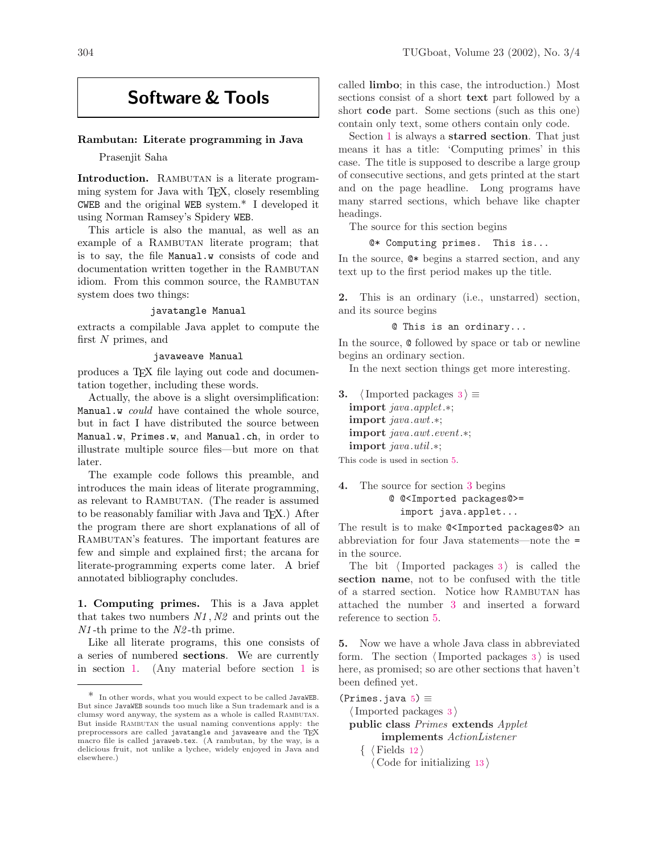# Software & Tools

### Rambutan: Literate programming in Java

Prasenjit Saha

Introduction. RAMBUTAN is a literate programming system for Java with TEX, closely resembling CWEB and the original WEB system.\* I developed it using Norman Ramsey's Spidery WEB.

This article is also the manual, as well as an example of a RAMBUTAN literate program; that is to say, the file Manual.w consists of code and documentation written together in the RAMBUTAN idiom. From this common source, the RAMBUTAN system does two things:

## javatangle Manual

extracts a compilable Java applet to compute the first N primes, and

# javaweave Manual

produces a TFX file laying out code and documentation together, including these words.

Actually, the above is a slight oversimplification: Manual.w could have contained the whole source, but in fact I have distributed the source between Manual.w, Primes.w, and Manual.ch, in order to illustrate multiple source files—but more on that later.

The example code follows this preamble, and introduces the main ideas of literate programming, as relevant to RAMBUTAN. (The reader is assumed to be reasonably familiar with Java and TEX.) After the program there are short explanations of all of RAMBUTAN's features. The important features are few and simple and explained first; the arcana for literate-programming experts come later. A brief annotated bibliography concludes.

<span id="page-0-0"></span>1. Computing primes. This is a Java applet that takes two numbers  $N1$ ,  $N2$  and prints out the N1 -th prime to the N2 -th prime.

Like all literate programs, this one consists of a series of numbered sections. We are currently in section [1.](#page-0-0) (Any material before section [1](#page-0-0) is

called limbo; in this case, the introduction.) Most sections consist of a short **text** part followed by a short code part. Some sections (such as this one) contain only text, some others contain only code.

Section [1](#page-0-0) is always a **starred section**. That just means it has a title: 'Computing primes' in this case. The title is supposed to describe a large group of consecutive sections, and gets printed at the start and on the page headline. Long programs have many starred sections, which behave like chapter headings.

The source for this section begins

```
@* Computing primes. This is...
```
In the source, @\* begins a starred section, and any text up to the first period makes up the title.

2. This is an ordinary (i.e., unstarred) section, and its source begins

@ This is an ordinary...

In the source, @ followed by space or tab or newline begins an ordinary section.

In the next section things get more interesting.

<span id="page-0-1"></span>**[3](#page-0-1).**  $\langle$  Imported packages 3  $\rangle \equiv$ import java.applet.∗; import java.awt.∗; import java.awt.event.∗; import java.util .∗;

This code is used in section [5](#page-0-2).

4. The source for section [3](#page-0-1) begins @ @<Imported packages@>= import java.applet...

The result is to make @<Imported packages@> an abbreviation for four Java statements—note the = in the source.

The bit  $\langle$  Imported packages [3](#page-0-1) $\rangle$  is called the section name, not to be confused with the title of a starred section. Notice how Rambutan has attached the number [3](#page-0-1) and inserted a forward reference to section [5](#page-0-2).

<span id="page-0-2"></span>5. Now we have a whole Java class in abbreviated form. The section  $\langle$  Imported packages [3](#page-0-1) $\rangle$  is used here, as promised; so are other sections that haven't been defined yet.

 $(Primes.java 5) \equiv$  $(Primes.java 5) \equiv$  $(Primes.java 5) \equiv$ 

 $\langle$  Imported packages [3](#page-0-1)  $\rangle$ 

public class Primes extends Applet implements ActionListener

 $\langle$  Fields [12](#page-1-0)  $\rangle$  $\langle$  Code for initializing [13](#page-1-1)  $\rangle$ 

 $^\ast~$  In other words, what you would expect to be called JavaWEB. But since JavaWEB sounds too much like a Sun trademark and is a clumsy word anyway, the system as a whole is called Rambutan. But inside RAMBUTAN the usual naming conventions apply: the preprocessors are called javatangle and javaweave and the TFX macro file is called javaweb.tex. (A rambutan, by the way, is a delicious fruit, not unlike a lychee, widely enjoyed in Java and elsewhere.)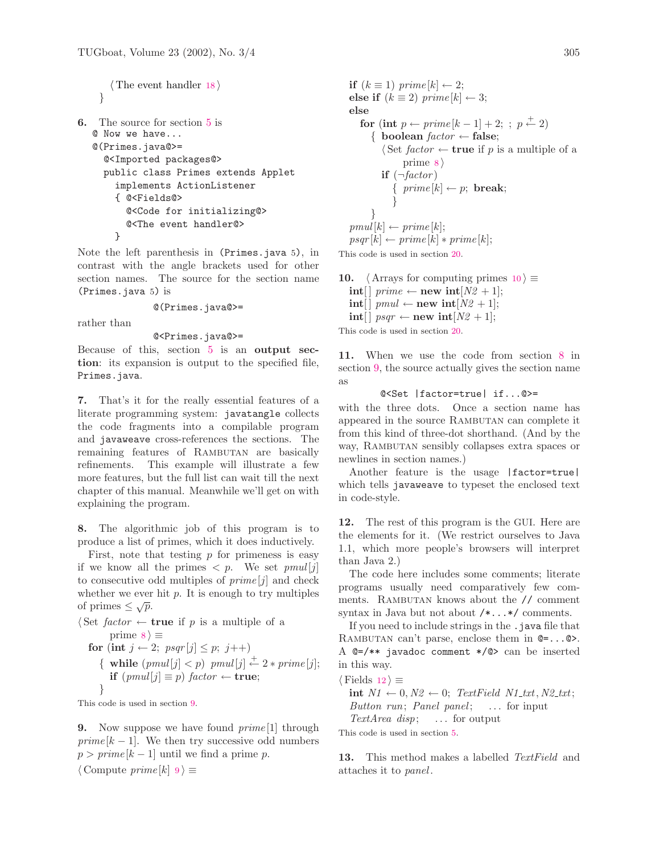```
\langle18 \rangle}
```

```
6. The source for section 5 is
  @ Now we have...
  @(Primes.java@>=
     @<Imported packages@>
     public class Primes extends Applet
      implements ActionListener
      { @<Fields@>
         @<Code for initializing@>
         @<The event handler@>
      }
```
Note the left parenthesis in (Primes.java 5), in contrast with the angle brackets used for other section names. The source for the section name (Primes.java 5) is

#### @(Primes.java@>=

rather than

# @<Primes.java@>=

Because of this, section [5](#page-0-2) is an output section: its expansion is output to the specified file, Primes.java.

7. That's it for the really essential features of a literate programming system: javatangle collects the code fragments into a compilable program and javaweave cross-references the sections. The remaining features of RAMBUTAN are basically refinements. This example will illustrate a few more features, but the full list can wait till the next chapter of this manual. Meanwhile we'll get on with explaining the program.

<span id="page-1-2"></span>8. The algorithmic job of this program is to produce a list of primes, which it does inductively.

First, note that testing  $p$  for primeness is easy if we know all the primes  $\langle p. \rangle$  We set  $pmul[j]$ to consecutive odd multiples of  $prime[j]$  and check whether we ever hit  $p$ . It is enough to try multiples whener we ever<br>of primes  $\leq \sqrt{p}$ .

 $\langle$  Set *factor*  $\leftarrow$  **true** if p is a multiple of a prime  $8 \geq$  $8 \geq$ 

```
for (int j \leftarrow 2; psqr[j] \leq p; j++)
   { while (pmul[j] < p) pmul[j] \stackrel{+}{\leftarrow} 2 * prime[j];if (pmul[j] ≡ p) factor ← true;
   }
```
This code is used in section [9](#page-1-3).

<span id="page-1-3"></span>**9.** Now suppose we have found  $prime[1]$  through  $prime [k - 1]$ . We then try successive odd numbers  $p > prime[k-1]$  until we find a prime p.

 $\langle$  Compute prime  $[k]$  [9](#page-1-3) $\rangle \equiv$ 

if  $(k \equiv 1)$  prime  $[k] \leftarrow 2$ ; else if  $(k \equiv 2)$  prime  $[k] \leftarrow 3$ ; else for (int  $p \leftarrow prime[k-1] + 2;$ ;  $p \leftarrow 2$ ) { boolean  $factor \leftarrow false;$  $\Diamond$  Set factor  $\leftarrow$  true if p is a multiple of a prime  $8$ if  $(\neg factor)$  $\{ prime[k] \leftarrow p; \text{ break};$ } }  $pmul[k] \leftarrow prime[k];$  $psqr[k] \leftarrow prime[k] * prime[k];$ 

This code is used in section [20](#page-2-1).

<span id="page-1-4"></span>[10](#page-1-4).  $\langle$  Arrays for computing primes 10  $\rangle \equiv$  $\text{int} \left[ \int p \, \text{rime} \leftarrow \text{new int} [N2 + 1]; \right.$  $\text{int}[\ ] \text{pmul} \leftarrow \text{new int}[N2 + 1];$  $\text{int} \left[ \text{ }psqr \leftarrow \text{new int}[N2 + 1]; \right.$ This code is used in section [20](#page-2-1).

<span id="page-1-5"></span>11. When we use the code from section [8](#page-1-2) in section [9,](#page-1-3) the source actually gives the section name as

```
@<Set |factor=true| if...@>=
```
with the three dots. Once a section name has appeared in the source RAMBUTAN can complete it from this kind of three-dot shorthand. (And by the way, RAMBUTAN sensibly collapses extra spaces or newlines in section names.)

Another feature is the usage |factor=true| which tells javaweave to typeset the enclosed text in code-style.

<span id="page-1-0"></span>12. The rest of this program is the GUI. Here are the elements for it. (We restrict ourselves to Java 1.1, which more people's browsers will interpret than Java 2.)

The code here includes some comments; literate programs usually need comparatively few comments. RAMBUTAN knows about the // comment syntax in Java but not about /\*...\*/ comments.

If you need to include strings in the . java file that RAMBUTAN can't parse, enclose them in  $Q = \dots Q$ . A @=/\*\* javadoc comment \*/@> can be inserted in this way.

 $\langle$  Fields [12](#page-1-0)  $\rangle \equiv$ 

int  $N1 \leftarrow 0, N2 \leftarrow 0$ ; TextField N1\_txt, N2\_txt; Button run; Panel panel;  $\ldots$  for input TextArea disp;  $\ldots$  for output

This code is used in section [5](#page-0-2).

<span id="page-1-1"></span>13. This method makes a labelled TextField and attaches it to *panel*.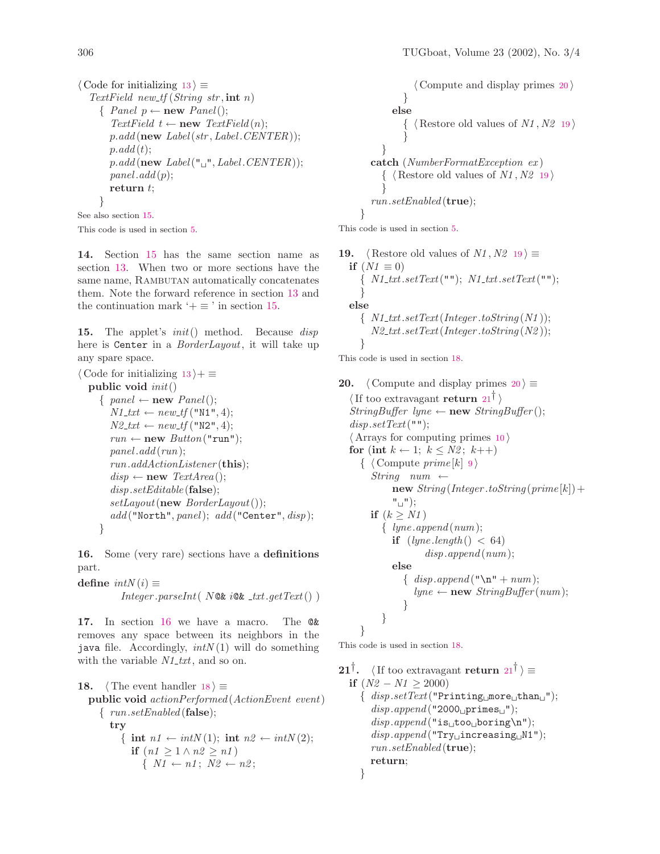$\langle$  Code for initializing [13](#page-1-1)  $\rangle \equiv$ TextField new\_tf  $(String str, int n)$  $\{ Panel p \leftarrow new Panel();$ TextField  $t \leftarrow new \text{TextField}(n);$  $p.add(new Label(str, Label.CENTER));$  $p.add(t);$  $p.add(new Label("_1", Label.CENTER));$  $panel.add(p);$ return t; }

See also section [15.](#page-2-2) This code is used in section [5](#page-0-2).

14. Section [15](#page-2-2) has the same section name as section [13.](#page-1-1) When two or more sections have the same name, RAMBUTAN automatically concatenates them. Note the forward reference in section [13](#page-1-1) and the continuation mark  $\dot{ }+\equiv$  ' in section [15](#page-2-2).

<span id="page-2-2"></span>15. The applet's  $init()$  method. Because disp here is Center in a *BorderLayout*, it will take up any spare space.

```
\langle13 \rangle + \equivpublic void init()
     \{ panel \leftarrow new Panel();N1_txt \leftarrow new\_tf ("N1", 4);
       N2\_txt \leftarrow new\_tf("N2", 4);run \leftarrow new \; Button("run");panel.add(run);run.addActionListener (this);
       disp \leftarrow new \text{TextArea}();
       disp.setEditable (false);
       setLayout(\mathbf{new} BorderLayout());add("North", panel); add("Center", disp);}
```
<span id="page-2-3"></span>16. Some (very rare) sections have a definitions part.

```
define intN(i) \equiv
```
 $Integer.parseInt(N@k i@k _1xt.getText())$ 

17. In section [16](#page-2-3) we have a macro. The @& removes any space between its neighbors in the java file. Accordingly,  $intN(1)$  will do something with the variable  $N1$ -txt, and so on.

```
18. \langle The event handler 18 \rangle \equivpublic void actionPerformed (ActionEvent event)
     { run.setEnabled (false);
        try
           { int n1 \leftarrow intN(1); int n2 \leftarrow intN(2);
             if (n1 > 1 \land n2 > n1)\{ N1 \leftarrow n1; N2 \leftarrow n2;
```
 $\langle$  Compute and display primes [20](#page-2-1)  $\rangle$ } else  $\{ \langle$  Restore old values of  $N1, N2$  [19](#page-2-4) $\rangle$ } } catch (NumberFormatException ex )  $\{ \langle$  Restore old values of  $N1, N2$  [19](#page-2-4) $\rangle$ }  $run.setEnabeled$  (true); }

This code is used in section [5](#page-0-2).

```
19. (Restore old values of N1, N2 19) \equivif (N1 \equiv 0)\{ N1\_txt.setText("") ; N1\_txt.setText("") ;}
  else
     \{ N1 \text{-}txt.setText(Integer.toString(N1));N2\_txt.setText(Integer.toString(N2));}
```
This code is used in section [18](#page-2-0).

<span id="page-2-1"></span>[20](#page-2-1).  $\langle$  Compute and display primes 20  $\rangle \equiv$  $\langle$  If too extravagant return [21](#page-2-5)<sup>†</sup> $\rangle$  $StringBuffer\;lyne \leftarrow new\;StringBuffer();$  $disp.setText("")$ ;  $\langle$  Arrays for computing primes [10](#page-1-4)  $\rangle$ for (int  $k \leftarrow 1$ ;  $k \leq N2$ ;  $k$ ++)  $\{ \text{ Compute } prime[k] \space 9 \}$  $\{ \text{ Compute } prime[k] \space 9 \}$  $\{ \text{ Compute } prime[k] \space 9 \}$  $String$  num ←  $new String (Integer.toString (prime [k]) +$  $"$  $\sqcup"$ ); if  $(k \geq N1)$  $\{lyne.append(num);$ if  $(lyne.length() < 64)$  $disp.append(num);$ else  $\{ \text{disp.append}("\n' + num);$  $lyne \leftarrow new StringBuffer(num);$ } } }

This code is used in section [18](#page-2-0).

<span id="page-2-5"></span>[21](#page-2-5)<sup>†</sup>. (If too extravagant return  $21^{\dagger}$ )  $\equiv$ if  $(N2 - N1 > 2000)$  $\{ \; disp.setText("Pritting \cup more \cup than \cup");$  $disp.append("2000\text{primes}_\sqcup");$  $disp.append("is \text{\_too} \text{:} boring \n$ ");  $disp.append("Try \iota$ increasing $\iota N1"$ );  $run.setEnabeled$  (true); return; }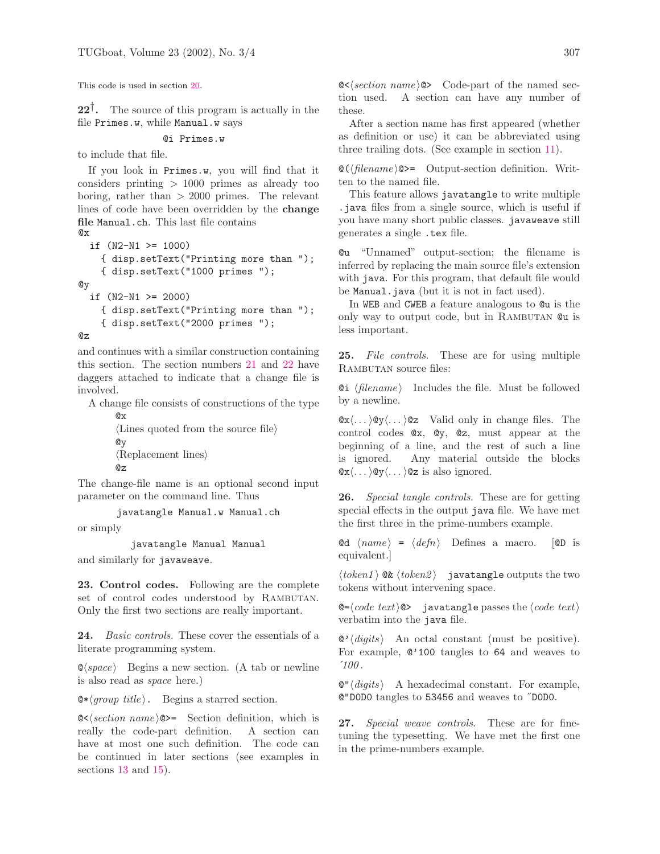This code is used in section [20](#page-2-1).

<span id="page-3-0"></span> $22^{\dagger}$ . The source of this program is actually in the file Primes.w, while Manual.w says

#### @i Primes.w

to include that file.

If you look in Primes.w, you will find that it considers printing  $> 1000$  primes as already too boring, rather than  $> 2000$  primes. The relevant lines of code have been overridden by the change file Manual.ch. This last file contains @x

```
if (N2−N1 >= 1000)
    { disp.setText("Printing more than ");
    { disp.setText("1000 primes ");
@y
  if (N2−N1 >= 2000)
    { disp.setText("Printing more than ");
    { disp.setText("2000 primes ");
```
@z

and continues with a similar construction containing this section. The section numbers [21](#page-2-5) and [22](#page-3-0) have daggers attached to indicate that a change file is involved.

A change file consists of constructions of the type @x

```
\langleLines quoted from the source file\rangle@y
\langle Rep] \0z
```
The change-file name is an optional second input parameter on the command line. Thus

javatangle Manual.w Manual.ch

or simply

javatangle Manual Manual

and similarly for javaweave.

23. Control codes. Following are the complete set of control codes understood by RAMBUTAN. Only the first two sections are really important.

24. *Basic controls*. These cover the essentials of a literate programming system.

 $\otimes$  *space* i Begins a new section. (A tab or newline is also read as space here.)

 $\&\langle \text{group title} \rangle$ . Begins a starred section.

 $\<$  section name  $\>=$  Section definition, which is really the code-part definition. A section can have at most one such definition. The code can be continued in later sections (see examples in sections [13](#page-1-1) and [15\)](#page-2-2).

 $\< \&set section \ name \> \ Code-part \ of \ the \ named \ sec$ tion used. A section can have any number of these.

After a section name has first appeared (whether as definition or use) it can be abbreviated using three trailing dots. (See example in section [11](#page-1-5)).

 $\mathcal{O}(\theta)$  = Output-section definition. Written to the named file.

This feature allows javatangle to write multiple .java files from a single source, which is useful if you have many short public classes. javaweave still generates a single .tex file.

@u "Unnamed" output-section; the filename is inferred by replacing the main source file's extension with java. For this program, that default file would be Manual.java (but it is not in fact used).

In WEB and CWEB a feature analogous to @u is the only way to output code, but in RAMBUTAN @u is less important.

25. File controls. These are for using multiple RAMBUTAN source files:

 $Qi \langle filename \rangle$  Includes the file. Must be followed by a newline.

 $\mathbb{Q}x\langle \dots \rangle \mathbb{Q}y\langle \dots \rangle \mathbb{Q}z$  Valid only in change files. The control codes @x, @y, @z, must appear at the beginning of a line, and the rest of such a line is ignored. Any material outside the blocks  $\mathbb{Q}x \langle \dots \rangle \mathbb{Q}y \langle \dots \rangle \mathbb{Q}z$  is also ignored.

26. Special tangle controls. These are for getting special effects in the output java file. We have met the first three in the prime-numbers example.

 $\text{ad } \langle name \rangle = \langle define \rangle$  Defines a macro.  $[\text{CD}$  is equivalent.]

 $\langle \text{token1} \rangle$  Q&  $\langle \text{token2} \rangle$  javatangle outputs the two tokens without intervening space.

 $\mathbb{Q}=\langle code \ text \rangle \$  javatangle passes the  $\langle code \ text \rangle$ verbatim into the java file.

 $\mathcal{Q}'$  digits An octal constant (must be positive). For example, @'100 tangles to 64 and weaves to  $'100.$ 

 $\mathbf{Q}''$  (digits) A hexadecimal constant. For example, @"D0D0 tangles to 53456 and weaves to ˝D0D0.

27. Special weave controls. These are for finetuning the typesetting. We have met the first one in the prime-numbers example.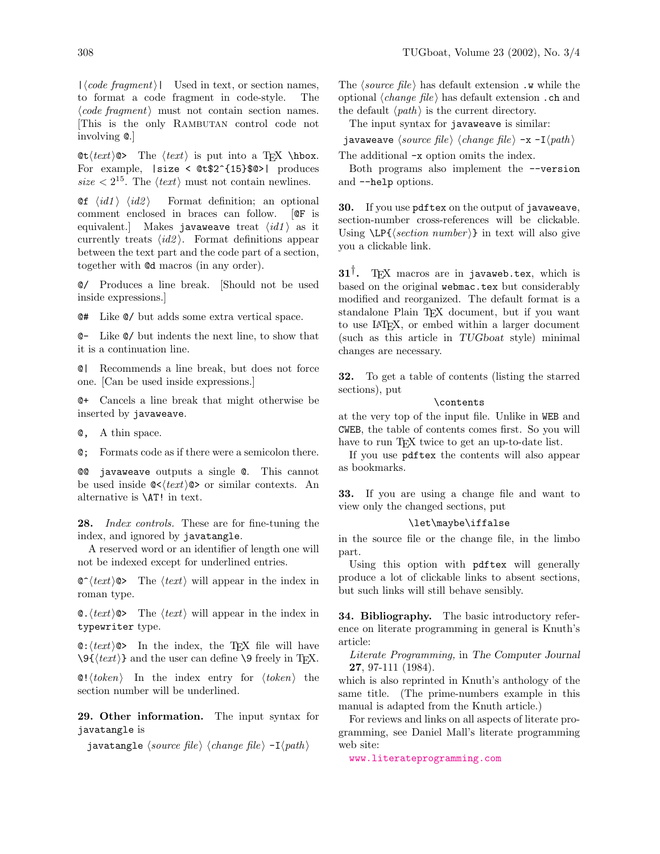$\text{Let } \text{text} \geq \text{ then } \text{let } \text{if } \text{text} \geq \text{ then } \text{let } \text{let } \text{ else.}$ For example, |size < @t\$2^{15}\$@>| produces size  $\langle 2^{15} \rangle$ . The  $\langle text \rangle$  must not contain newlines.

**Qf**  $\langle id1 \rangle$   $\langle id2 \rangle$  Format definition; an optional comment enclosed in braces can follow. [@F is equivalent.] Makes javaweave treat  $\langle id1 \rangle$  as it currently treats  $\langle id2 \rangle$ . Format definitions appear between the text part and the code part of a section, together with @d macros (in any order).

@/ Produces a line break. [Should not be used inside expressions.]

@# Like @/ but adds some extra vertical space.

@− Like @/ but indents the next line, to show that it is a continuation line.

@| Recommends a line break, but does not force one. [Can be used inside expressions.]

@+ Cancels a line break that might otherwise be inserted by javaweave.

@, A thin space.

@; Formats code as if there were a semicolon there.

@@ javaweave outputs a single @. This cannot be used inside  $\mathbb{C}\langle \text{text}\rangle \otimes \mathbb{C}$  or similar contexts. An alternative is \AT! in text.

28. *Index controls*. These are for fine-tuning the index, and ignored by javatangle.

A reserved word or an identifier of length one will not be indexed except for underlined entries.

 $\circ$  (text)  $\circ$  The (text) will appear in the index in roman type.

 $\< \text{text} \>$  The  $\langle \text{text} \rangle$  will appear in the index in typewriter type.

 $\mathbf{C}: \langle \text{text}\rangle \mathbf{C}$  In the index, the TEX file will have  $\\{texttext{text}\}\$  and the user can define  $\\$  freely in TEX.

 $\mathcal{O}! \langle \text{token} \rangle$  In the index entry for  $\langle \text{token} \rangle$  the section number will be underlined.

29. Other information. The input syntax for javatangle is

javatangle  $\langle source\ file\rangle \langle change\ file\rangle -I\langle path\rangle$ 

The *(source file)* has default extension  $\cdot$  w while the optional  $\langle change\ file\rangle$  has default extension. ch and the default  $\langle path \rangle$  is the current directory.

The input syntax for javaweave is similar:

javaweave  $\langle source\ file\rangle \langle change\ file\rangle -x -I\langle path\rangle$ 

The additional −x option omits the index.

Both programs also implement the −−version and −−help options.

30. If you use pdftex on the output of javaweave, section-number cross-references will be clickable. Using  $\text{LP} {\text{section} number}$  in text will also give you a clickable link.

 $31^{\dagger}$ . T<sub>E</sub>X macros are in javaweb.tex, which is based on the original webmac.tex but considerably modified and reorganized. The default format is a standalone Plain TEX document, but if you want to use LATEX, or embed within a larger document (such as this article in TUGboat style) minimal changes are necessary.

32. To get a table of contents (listing the starred sections), put

# \contents

at the very top of the input file. Unlike in WEB and CWEB, the table of contents comes first. So you will have to run TEX twice to get an up-to-date list.

If you use pdftex the contents will also appear as bookmarks.

33. If you are using a change file and want to view only the changed sections, put

## \let\maybe\iffalse

in the source file or the change file, in the limbo part.

Using this option with pdftex will generally produce a lot of clickable links to absent sections, but such links will still behave sensibly.

34. Bibliography. The basic introductory reference on literate programming in general is Knuth's article:

Literate Programming, in The Computer Journal 27, 97-111 (1984).

which is also reprinted in Knuth's anthology of the same title. (The prime-numbers example in this manual is adapted from the Knuth article.)

For reviews and links on all aspects of literate programming, see Daniel Mall's literate programming web site:

[www.literateprogramming.com](http://www.literateprogramming.com)